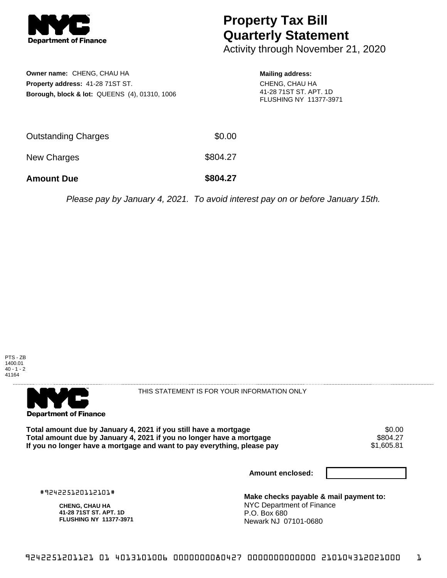

## **Property Tax Bill Quarterly Statement**

Activity through November 21, 2020

| <b>Owner name: CHENG, CHAU HA</b>                                                        |        | <b>Mailing address:</b>                                                   |  |
|------------------------------------------------------------------------------------------|--------|---------------------------------------------------------------------------|--|
| <b>Property address: 41-28 71ST ST.</b><br>Borough, block & lot: QUEENS (4), 01310, 1006 |        | CHENG, CHAU HA<br>41-28 71ST ST. APT. 1D<br><b>FLUSHING NY 11377-3971</b> |  |
| <b>Outstanding Charges</b>                                                               | \$0.00 |                                                                           |  |

New Charges \$804.27

**Amount Due \$804.27**

Please pay by January 4, 2021. To avoid interest pay on or before January 15th.





THIS STATEMENT IS FOR YOUR INFORMATION ONLY

Total amount due by January 4, 2021 if you still have a mortgage  $$0.00$ <br>Total amount due by January 4, 2021 if you no longer have a mortgage  $$804.27$ **Total amount due by January 4, 2021 if you no longer have a mortgage \$804.27<br>If you no longer have a mortgage and want to pay everything, please pay \$1,605.81** If you no longer have a mortgage and want to pay everything, please pay

**Amount enclosed:**

#924225120112101#

**CHENG, CHAU HA 41-28 71ST ST. APT. 1D FLUSHING NY 11377-3971**

**Make checks payable & mail payment to:** NYC Department of Finance P.O. Box 680 Newark NJ 07101-0680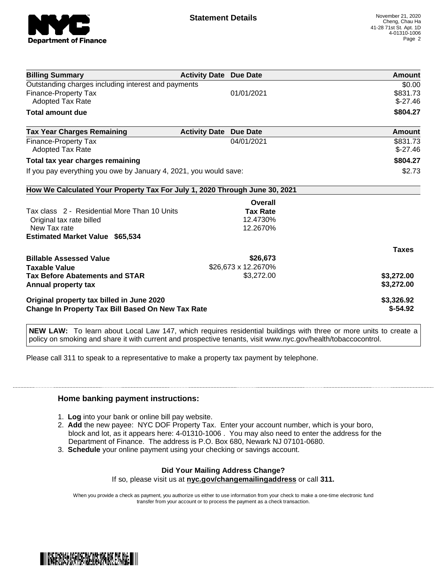

| <b>Billing Summary</b>                                                     | <b>Activity Date Due Date</b> |                     | Amount       |
|----------------------------------------------------------------------------|-------------------------------|---------------------|--------------|
| Outstanding charges including interest and payments                        |                               |                     | \$0.00       |
| <b>Finance-Property Tax</b>                                                |                               | 01/01/2021          | \$831.73     |
| Adopted Tax Rate                                                           |                               |                     | $$-27.46$    |
| <b>Total amount due</b>                                                    |                               |                     | \$804.27     |
| <b>Tax Year Charges Remaining</b>                                          | <b>Activity Date</b>          | <b>Due Date</b>     | Amount       |
| Finance-Property Tax                                                       |                               | 04/01/2021          | \$831.73     |
| Adopted Tax Rate                                                           |                               |                     | $$-27.46$    |
| Total tax year charges remaining                                           |                               |                     | \$804.27     |
| If you pay everything you owe by January 4, 2021, you would save:          |                               |                     | \$2.73       |
| How We Calculated Your Property Tax For July 1, 2020 Through June 30, 2021 |                               |                     |              |
|                                                                            |                               | Overall             |              |
| Tax class 2 - Residential More Than 10 Units                               |                               | <b>Tax Rate</b>     |              |
| Original tax rate billed                                                   |                               | 12.4730%            |              |
| New Tax rate                                                               |                               | 12.2670%            |              |
| <b>Estimated Market Value \$65,534</b>                                     |                               |                     |              |
|                                                                            |                               |                     | <b>Taxes</b> |
| <b>Billable Assessed Value</b>                                             |                               | \$26,673            |              |
| <b>Taxable Value</b>                                                       |                               | \$26,673 x 12.2670% |              |
| <b>Tax Before Abatements and STAR</b>                                      |                               | \$3,272.00          | \$3,272.00   |
| Annual property tax                                                        |                               |                     | \$3,272.00   |
| Original property tax billed in June 2020                                  |                               |                     | \$3,326.92   |
| <b>Change In Property Tax Bill Based On New Tax Rate</b>                   |                               |                     | $$-54.92$    |

**NEW LAW:** To learn about Local Law 147, which requires residential buildings with three or more units to create a policy on smoking and share it with current and prospective tenants, visit www.nyc.gov/health/tobaccocontrol.

Please call 311 to speak to a representative to make a property tax payment by telephone.

## **Home banking payment instructions:**

- 1. **Log** into your bank or online bill pay website.
- 2. **Add** the new payee: NYC DOF Property Tax. Enter your account number, which is your boro, block and lot, as it appears here: 4-01310-1006 . You may also need to enter the address for the Department of Finance. The address is P.O. Box 680, Newark NJ 07101-0680.
- 3. **Schedule** your online payment using your checking or savings account.

## **Did Your Mailing Address Change?**

If so, please visit us at **nyc.gov/changemailingaddress** or call **311.**

When you provide a check as payment, you authorize us either to use information from your check to make a one-time electronic fund transfer from your account or to process the payment as a check transaction.